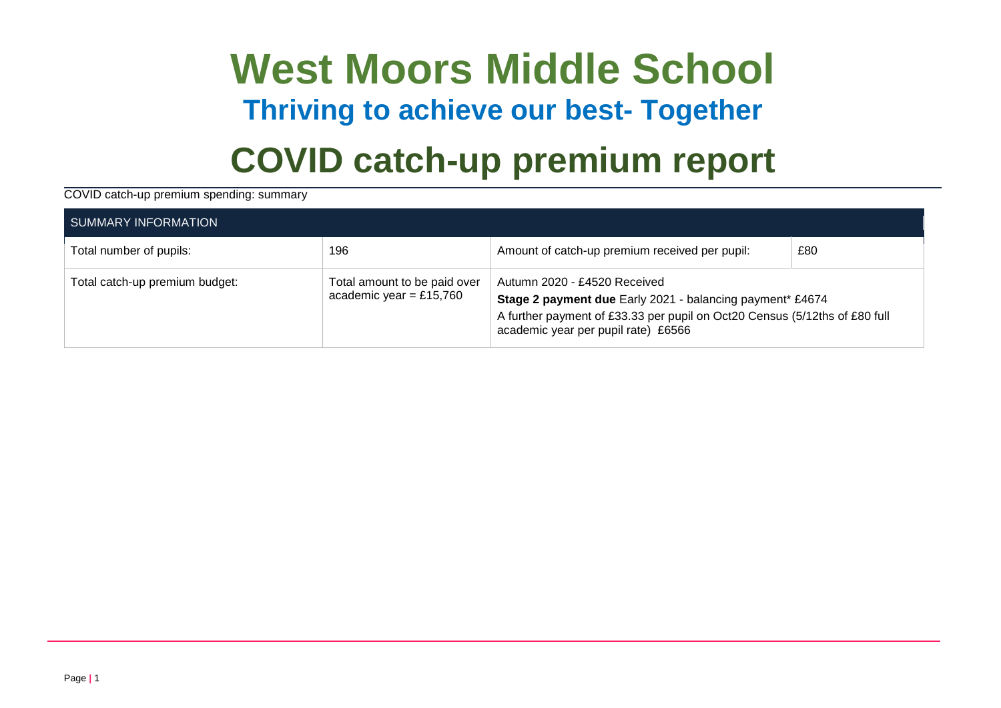# **West Moors Middle School Thriving to achieve our best- Together COVID catch-up premium report**

COVID catch-up premium spending: summary

| SUMMARY INFORMATION            |                                                         |                                                                                                                                                                                                                |     |  |  |
|--------------------------------|---------------------------------------------------------|----------------------------------------------------------------------------------------------------------------------------------------------------------------------------------------------------------------|-----|--|--|
| Total number of pupils:        | 196                                                     | Amount of catch-up premium received per pupil:                                                                                                                                                                 | £80 |  |  |
| Total catch-up premium budget: | Total amount to be paid over<br>academic year = £15,760 | Autumn 2020 - £4520 Received<br>Stage 2 payment due Early 2021 - balancing payment* £4674<br>A further payment of £33.33 per pupil on Oct20 Census (5/12ths of £80 full<br>academic year per pupil rate) £6566 |     |  |  |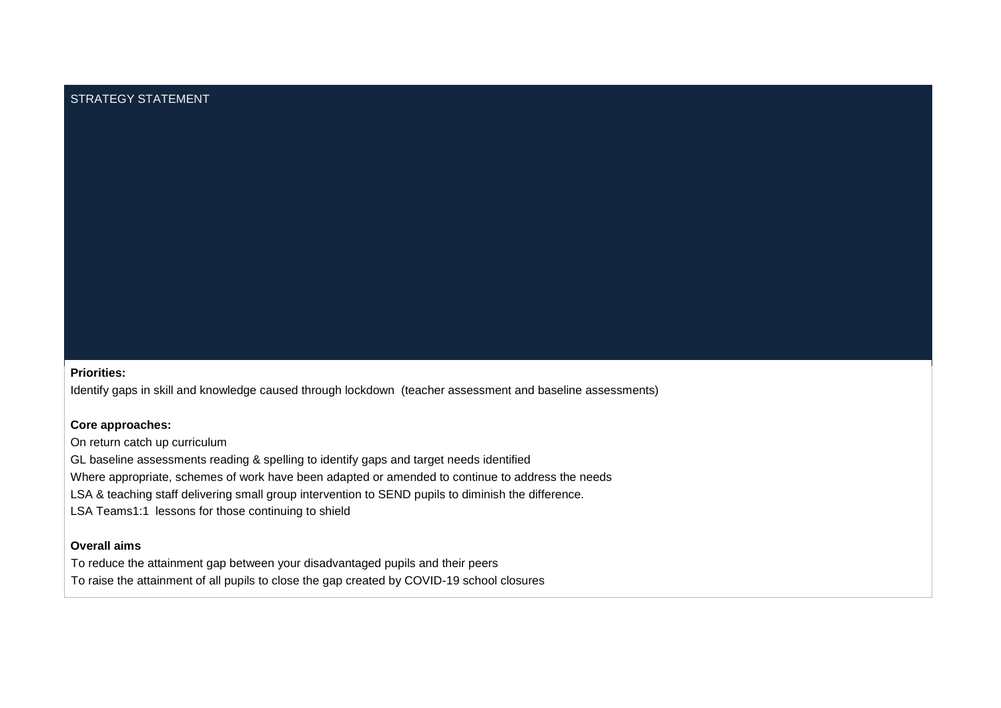### STRATEGY STATEMENT

### **Priorities:**

Identify gaps in skill and knowledge caused through lockdown (teacher assessment and baseline assessments)

#### **Core approaches:**

On return catch up curriculum

GL baseline assessments reading & spelling to identify gaps and target needs identified

Where appropriate, schemes of work have been adapted or amended to continue to address the needs

LSA & teaching staff delivering small group intervention to SEND pupils to diminish the difference.

LSA Teams1:1 lessons for those continuing to shield

### **Overall aims**

To reduce the attainment gap between your disadvantaged pupils and their peers

To raise the attainment of all pupils to close the gap created by COVID-19 school closures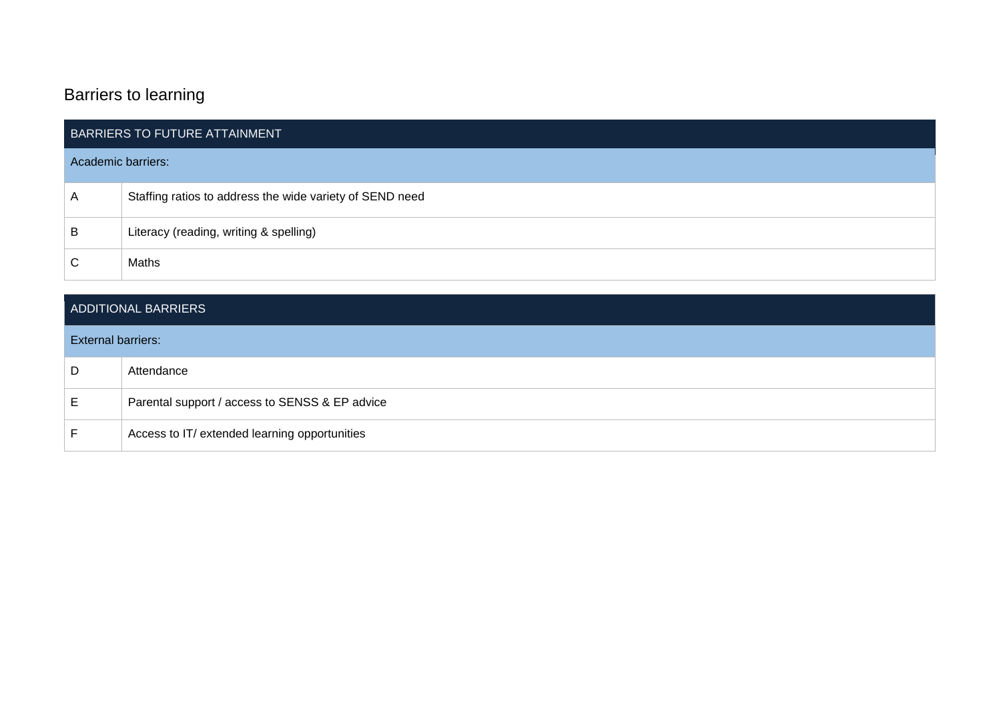### Barriers to learning

| BARRIERS TO FUTURE ATTAINMENT |                                                          |  |  |
|-------------------------------|----------------------------------------------------------|--|--|
| Academic barriers:            |                                                          |  |  |
| A                             | Staffing ratios to address the wide variety of SEND need |  |  |
| B                             | Literacy (reading, writing & spelling)                   |  |  |
| С                             | Maths                                                    |  |  |

### ADDITIONAL BARRIERS

### External barriers:

| - D  | Attendance                                     |
|------|------------------------------------------------|
|      |                                                |
| . E. | Parental support / access to SENSS & EP advice |
|      | Access to IT/ extended learning opportunities  |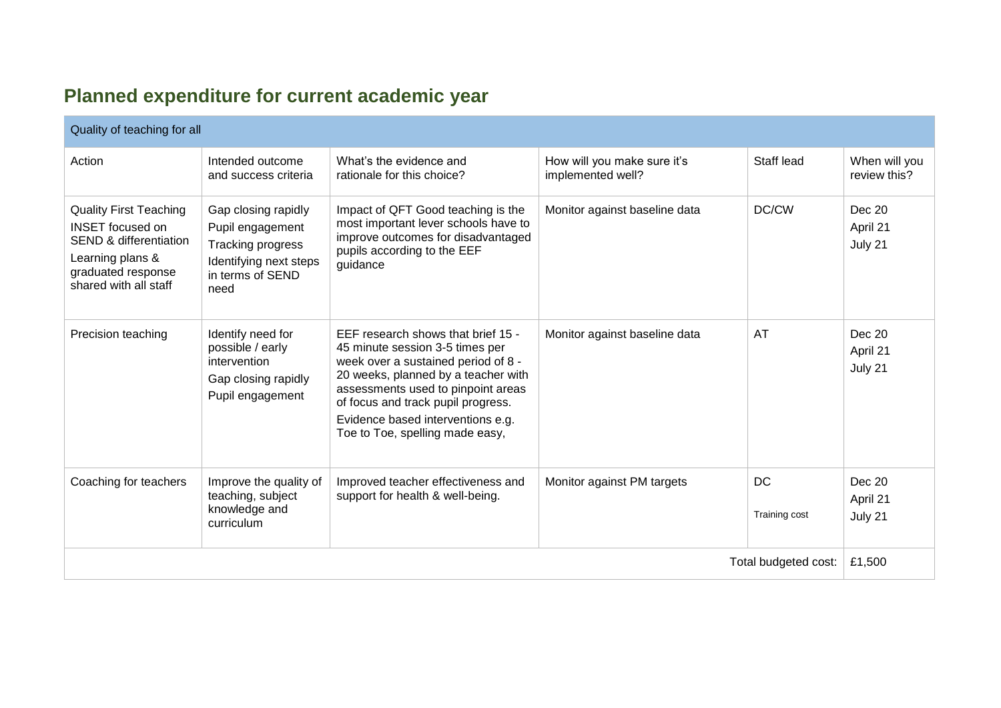## **Planned expenditure for current academic year**

| Quality of teaching for all                                                                                                                                      |                                                                                                                    |                                                                                                                                                                                                                                                                                                         |                                                  |                            |                               |
|------------------------------------------------------------------------------------------------------------------------------------------------------------------|--------------------------------------------------------------------------------------------------------------------|---------------------------------------------------------------------------------------------------------------------------------------------------------------------------------------------------------------------------------------------------------------------------------------------------------|--------------------------------------------------|----------------------------|-------------------------------|
| Action                                                                                                                                                           | Intended outcome<br>and success criteria                                                                           | What's the evidence and<br>rationale for this choice?                                                                                                                                                                                                                                                   | How will you make sure it's<br>implemented well? | Staff lead                 | When will you<br>review this? |
| <b>Quality First Teaching</b><br><b>INSET</b> focused on<br><b>SEND &amp; differentiation</b><br>Learning plans &<br>graduated response<br>shared with all staff | Gap closing rapidly<br>Pupil engagement<br>Tracking progress<br>Identifying next steps<br>in terms of SEND<br>need | Impact of QFT Good teaching is the<br>most important lever schools have to<br>improve outcomes for disadvantaged<br>pupils according to the EEF<br>guidance                                                                                                                                             | Monitor against baseline data                    | DC/CW                      | Dec 20<br>April 21<br>July 21 |
| Precision teaching                                                                                                                                               | Identify need for<br>possible / early<br>intervention<br>Gap closing rapidly<br>Pupil engagement                   | EEF research shows that brief 15 -<br>45 minute session 3-5 times per<br>week over a sustained period of 8 -<br>20 weeks, planned by a teacher with<br>assessments used to pinpoint areas<br>of focus and track pupil progress.<br>Evidence based interventions e.g.<br>Toe to Toe, spelling made easy, | Monitor against baseline data                    | AT                         | Dec 20<br>April 21<br>July 21 |
| Coaching for teachers                                                                                                                                            | Improve the quality of<br>teaching, subject<br>knowledge and<br>curriculum                                         | Improved teacher effectiveness and<br>support for health & well-being.                                                                                                                                                                                                                                  | Monitor against PM targets                       | <b>DC</b><br>Training cost | Dec 20<br>April 21<br>July 21 |
| Total budgeted cost:                                                                                                                                             |                                                                                                                    |                                                                                                                                                                                                                                                                                                         |                                                  | £1,500                     |                               |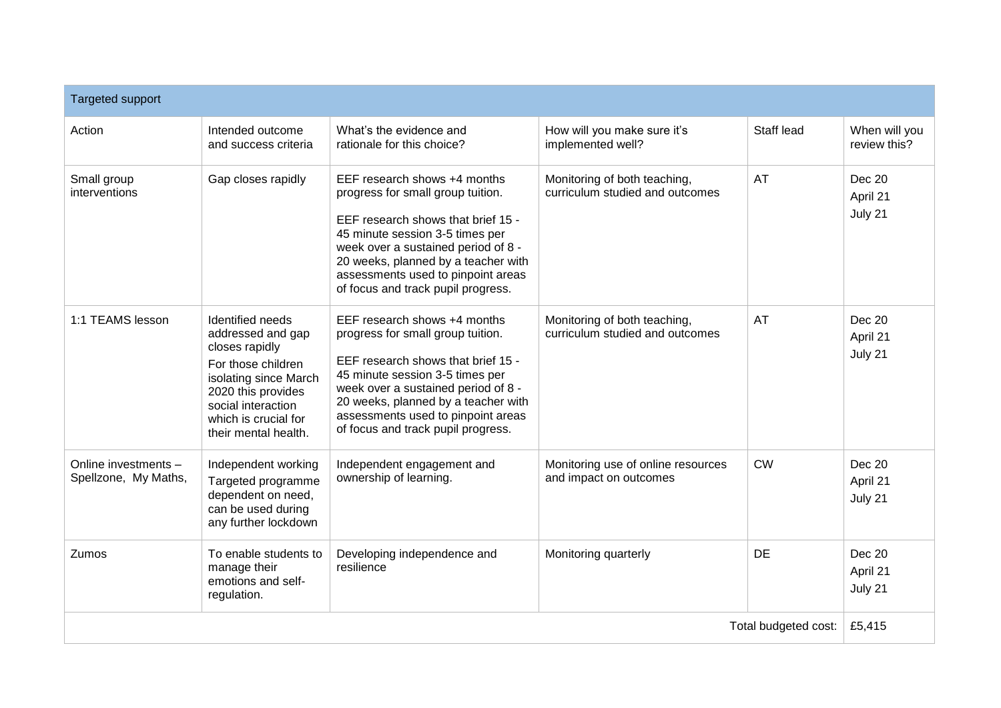| <b>Targeted support</b>                      |                                                                                                                                                                                                    |                                                                                                                                                                                                                                                                                                      |                                                                 |            |                                      |
|----------------------------------------------|----------------------------------------------------------------------------------------------------------------------------------------------------------------------------------------------------|------------------------------------------------------------------------------------------------------------------------------------------------------------------------------------------------------------------------------------------------------------------------------------------------------|-----------------------------------------------------------------|------------|--------------------------------------|
| Action                                       | Intended outcome<br>and success criteria                                                                                                                                                           | What's the evidence and<br>rationale for this choice?                                                                                                                                                                                                                                                | How will you make sure it's<br>implemented well?                | Staff lead | When will you<br>review this?        |
| Small group<br>interventions                 | Gap closes rapidly                                                                                                                                                                                 | EEF research shows +4 months<br>progress for small group tuition.<br>EEF research shows that brief 15 -<br>45 minute session 3-5 times per<br>week over a sustained period of 8 -<br>20 weeks, planned by a teacher with<br>assessments used to pinpoint areas<br>of focus and track pupil progress. | Monitoring of both teaching,<br>curriculum studied and outcomes | AT         | <b>Dec 20</b><br>April 21<br>July 21 |
| 1:1 TEAMS lesson                             | Identified needs<br>addressed and gap<br>closes rapidly<br>For those children<br>isolating since March<br>2020 this provides<br>social interaction<br>which is crucial for<br>their mental health. | EEF research shows +4 months<br>progress for small group tuition.<br>EEF research shows that brief 15 -<br>45 minute session 3-5 times per<br>week over a sustained period of 8 -<br>20 weeks, planned by a teacher with<br>assessments used to pinpoint areas<br>of focus and track pupil progress. | Monitoring of both teaching,<br>curriculum studied and outcomes | <b>AT</b>  | Dec 20<br>April 21<br>July 21        |
| Online investments -<br>Spellzone, My Maths, | Independent working<br>Targeted programme<br>dependent on need,<br>can be used during<br>any further lockdown                                                                                      | Independent engagement and<br>ownership of learning.                                                                                                                                                                                                                                                 | Monitoring use of online resources<br>and impact on outcomes    | <b>CW</b>  | <b>Dec 20</b><br>April 21<br>July 21 |
| Zumos                                        | To enable students to<br>manage their<br>emotions and self-<br>regulation.                                                                                                                         | Developing independence and<br>resilience                                                                                                                                                                                                                                                            | Monitoring quarterly                                            | <b>DE</b>  | <b>Dec 20</b><br>April 21<br>July 21 |
| Total budgeted cost:                         |                                                                                                                                                                                                    |                                                                                                                                                                                                                                                                                                      |                                                                 | £5,415     |                                      |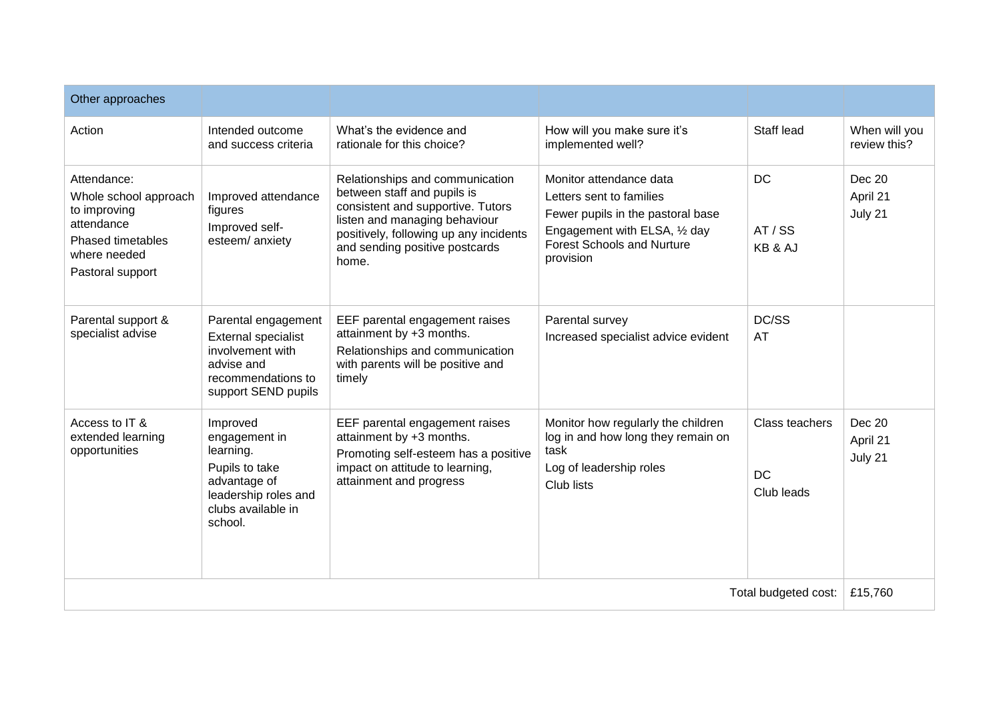| Other approaches                                                                                                            |                                                                                                                                   |                                                                                                                                                                                                                           |                                                                                                                                                                             |                                           |                               |
|-----------------------------------------------------------------------------------------------------------------------------|-----------------------------------------------------------------------------------------------------------------------------------|---------------------------------------------------------------------------------------------------------------------------------------------------------------------------------------------------------------------------|-----------------------------------------------------------------------------------------------------------------------------------------------------------------------------|-------------------------------------------|-------------------------------|
| Action                                                                                                                      | Intended outcome<br>and success criteria                                                                                          | What's the evidence and<br>rationale for this choice?                                                                                                                                                                     | How will you make sure it's<br>implemented well?                                                                                                                            | Staff lead                                | When will you<br>review this? |
| Attendance:<br>Whole school approach<br>to improving<br>attendance<br>Phased timetables<br>where needed<br>Pastoral support | Improved attendance<br>figures<br>Improved self-<br>esteem/anxiety                                                                | Relationships and communication<br>between staff and pupils is<br>consistent and supportive. Tutors<br>listen and managing behaviour<br>positively, following up any incidents<br>and sending positive postcards<br>home. | Monitor attendance data<br>Letters sent to families<br>Fewer pupils in the pastoral base<br>Engagement with ELSA, 1/2 day<br><b>Forest Schools and Nurture</b><br>provision | <b>DC</b><br>AT/SS<br>KB & AJ             | Dec 20<br>April 21<br>July 21 |
| Parental support &<br>specialist advise                                                                                     | Parental engagement<br><b>External specialist</b><br>involvement with<br>advise and<br>recommendations to<br>support SEND pupils  | EEF parental engagement raises<br>attainment by +3 months.<br>Relationships and communication<br>with parents will be positive and<br>timely                                                                              | Parental survey<br>Increased specialist advice evident                                                                                                                      | DC/SS<br>AT                               |                               |
| Access to IT &<br>extended learning<br>opportunities                                                                        | Improved<br>engagement in<br>learning.<br>Pupils to take<br>advantage of<br>leadership roles and<br>clubs available in<br>school. | EEF parental engagement raises<br>attainment by +3 months.<br>Promoting self-esteem has a positive<br>impact on attitude to learning,<br>attainment and progress                                                          | Monitor how regularly the children<br>log in and how long they remain on<br>task<br>Log of leadership roles<br>Club lists                                                   | Class teachers<br><b>DC</b><br>Club leads | Dec 20<br>April 21<br>July 21 |
| Total budgeted cost:                                                                                                        |                                                                                                                                   |                                                                                                                                                                                                                           |                                                                                                                                                                             | £15,760                                   |                               |